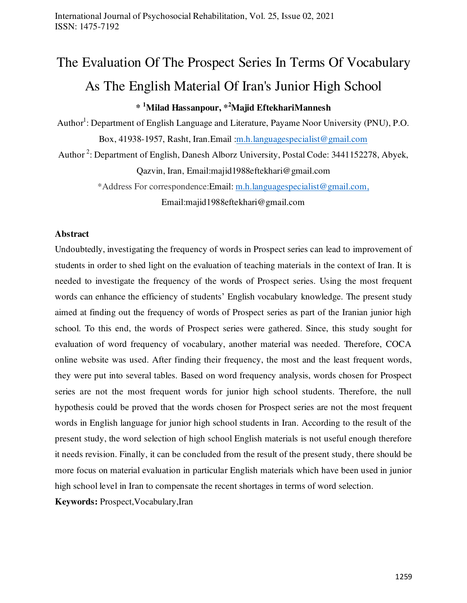# The Evaluation Of The Prospect Series In Terms Of Vocabulary As The English Material Of Iran's Junior High School **\* <sup>1</sup>Milad Hassanpour, \* <sup>2</sup>Majid EftekhariMannesh**

Author<sup>1</sup>: Department of English Language and Literature, Payame Noor University (PNU), P.O. Box, 41938-1957, Rasht, Iran.Email [:m.h.languagespecialist@gmail.com](mailto:m.h.languagespecialist@gmail.com)

Author<sup>2</sup>: Department of English, Danesh Alborz University, Postal Code: 3441152278, Abyek, Qazvin, Iran, Email:majid1988eftekhari@gmail.com

> \*Address For correspondence:Email: [m.h.languagespecialist@gmail.com,](mailto:m.h.languagespecialist@gmail.com) Email:majid1988eftekhari@gmail.com

## **Abstract**

Undoubtedly, investigating the frequency of words in Prospect series can lead to improvement of students in order to shed light on the evaluation of teaching materials in the context of Iran. It is needed to investigate the frequency of the words of Prospect series. Using the most frequent words can enhance the efficiency of students' English vocabulary knowledge. The present study aimed at finding out the frequency of words of Prospect series as part of the Iranian junior high school. To this end, the words of Prospect series were gathered. Since, this study sought for evaluation of word frequency of vocabulary, another material was needed. Therefore, COCA online website was used. After finding their frequency, the most and the least frequent words, they were put into several tables. Based on word frequency analysis, words chosen for Prospect series are not the most frequent words for junior high school students. Therefore, the null hypothesis could be proved that the words chosen for Prospect series are not the most frequent words in English language for junior high school students in Iran. According to the result of the present study, the word selection of high school English materials is not useful enough therefore it needs revision. Finally, it can be concluded from the result of the present study, there should be more focus on material evaluation in particular English materials which have been used in junior high school level in Iran to compensate the recent shortages in terms of word selection.

**Keywords:** Prospect,Vocabulary,Iran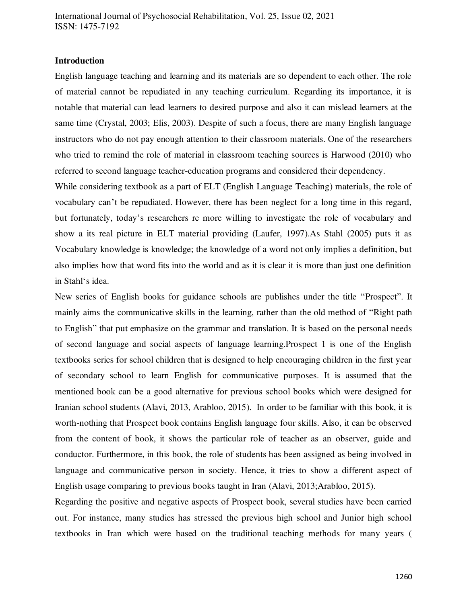#### **Introduction**

English language teaching and learning and its materials are so dependent to each other. The role of material cannot be repudiated in any teaching curriculum. Regarding its importance, it is notable that material can lead learners to desired purpose and also it can mislead learners at the same time (Crystal, 2003; Elis, 2003). Despite of such a focus, there are many English language instructors who do not pay enough attention to their classroom materials. One of the researchers who tried to remind the role of material in classroom teaching sources is Harwood (2010) who referred to second language teacher-education programs and considered their dependency.

While considering textbook as a part of ELT (English Language Teaching) materials, the role of vocabulary can't be repudiated. However, there has been neglect for a long time in this regard, but fortunately, today's researchers re more willing to investigate the role of vocabulary and show a its real picture in ELT material providing (Laufer, 1997).As Stahl (2005) puts it as Vocabulary knowledge is knowledge; the knowledge of a word not only implies a definition, but also implies how that word fits into the world and as it is clear it is more than just one definition in Stahl's idea.

New series of English books for guidance schools are publishes under the title "Prospect". It mainly aims the communicative skills in the learning, rather than the old method of "Right path to English" that put emphasize on the grammar and translation. It is based on the personal needs of second language and social aspects of language learning.Prospect 1 is one of the English textbooks series for school children that is designed to help encouraging children in the first year of secondary school to learn English for communicative purposes. It is assumed that the mentioned book can be a good alternative for previous school books which were designed for Iranian school students (Alavi, 2013, Arabloo, 2015). In order to be familiar with this book, it is worth-nothing that Prospect book contains English language four skills. Also, it can be observed from the content of book, it shows the particular role of teacher as an observer, guide and conductor. Furthermore, in this book, the role of students has been assigned as being involved in language and communicative person in society. Hence, it tries to show a different aspect of English usage comparing to previous books taught in Iran (Alavi, 2013;Arabloo, 2015).

Regarding the positive and negative aspects of Prospect book, several studies have been carried out. For instance, many studies has stressed the previous high school and Junior high school textbooks in Iran which were based on the traditional teaching methods for many years (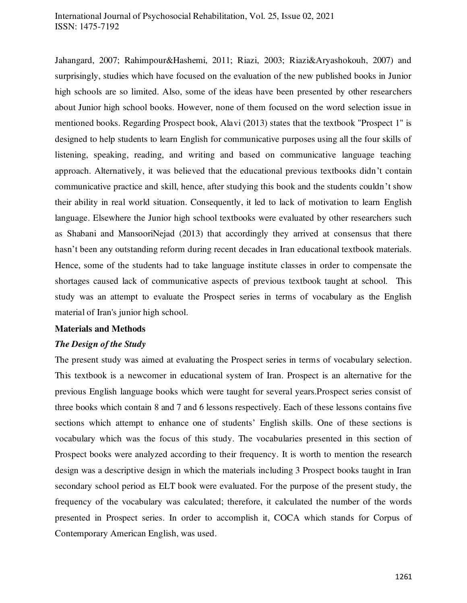Jahangard, 2007; Rahimpour&Hashemi, 2011; Riazi, 2003; Riazi&Aryashokouh, 2007) and surprisingly, studies which have focused on the evaluation of the new published books in Junior high schools are so limited. Also, some of the ideas have been presented by other researchers about Junior high school books. However, none of them focused on the word selection issue in mentioned books. Regarding Prospect book, Alavi (2013) states that the textbook "Prospect 1" is designed to help students to learn English for communicative purposes using all the four skills of listening, speaking, reading, and writing and based on communicative language teaching approach. Alternatively, it was believed that the educational previous textbooks didn't contain communicative practice and skill, hence, after studying this book and the students couldn't show their ability in real world situation. Consequently, it led to lack of motivation to learn English language. Elsewhere the Junior high school textbooks were evaluated by other researchers such as Shabani and MansooriNejad (2013) that accordingly they arrived at consensus that there hasn't been any outstanding reform during recent decades in Iran educational textbook materials. Hence, some of the students had to take language institute classes in order to compensate the shortages caused lack of communicative aspects of previous textbook taught at school. This study was an attempt to evaluate the Prospect series in terms of vocabulary as the English material of Iran's junior high school.

#### **Materials and Methods**

#### *The Design of the Study*

The present study was aimed at evaluating the Prospect series in terms of vocabulary selection. This textbook is a newcomer in educational system of Iran. Prospect is an alternative for the previous English language books which were taught for several years.Prospect series consist of three books which contain 8 and 7 and 6 lessons respectively. Each of these lessons contains five sections which attempt to enhance one of students' English skills. One of these sections is vocabulary which was the focus of this study. The vocabularies presented in this section of Prospect books were analyzed according to their frequency. It is worth to mention the research design was a descriptive design in which the materials including 3 Prospect books taught in Iran secondary school period as ELT book were evaluated. For the purpose of the present study, the frequency of the vocabulary was calculated; therefore, it calculated the number of the words presented in Prospect series. In order to accomplish it, COCA which stands for Corpus of Contemporary American English, was used.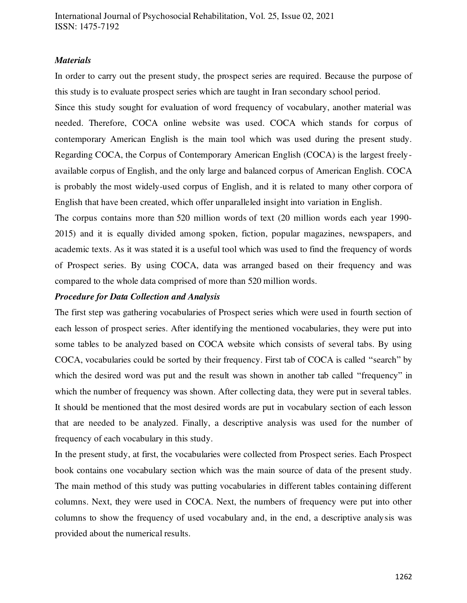#### *Materials*

In order to carry out the present study, the prospect series are required. Because the purpose of this study is to evaluate prospect series which are taught in Iran secondary school period.

Since this study sought for evaluation of word frequency of vocabulary, another material was needed. Therefore, COCA online website was used. COCA which stands for corpus of contemporary American English is the main tool which was used during the present study. Regarding COCA, the Corpus of Contemporary American English (COCA) is the largest freelyavailable corpus of English, and the only [large and balanced](http://corpus.byu.edu/coca/help/texts.asp) corpus of American English. COCA is probably the [most widely-used corpus of English,](http://corpus.byu.edu/users.asp) and it is related to many other [corpora of](http://corpus.byu.edu/)  [English](http://corpus.byu.edu/) that have been created, which offer unparalleled insight into [variation in English.](http://corpus.byu.edu/variation.asp)

The corpus contains more than [520 million words](http://corpus.byu.edu/coca/help/texts.asp) of text (20 million words each year 1990- 2015) and it is equally divided among spoken, fiction, popular magazines, newspapers, and academic texts. As it was stated it is a useful tool which was used to find the frequency of words of Prospect series. By using COCA, data was arranged based on their frequency and was compared to the whole data comprised of more than 520 million words.

#### *Procedure for Data Collection and Analysis*

The first step was gathering vocabularies of Prospect series which were used in fourth section of each lesson of prospect series. After identifying the mentioned vocabularies, they were put into some tables to be analyzed based on COCA website which consists of several tabs. By using COCA, vocabularies could be sorted by their frequency. First tab of COCA is called "search" by which the desired word was put and the result was shown in another tab called "frequency" in which the number of frequency was shown. After collecting data, they were put in several tables. It should be mentioned that the most desired words are put in vocabulary section of each lesson that are needed to be analyzed. Finally, a descriptive analysis was used for the number of frequency of each vocabulary in this study.

In the present study, at first, the vocabularies were collected from Prospect series. Each Prospect book contains one vocabulary section which was the main source of data of the present study. The main method of this study was putting vocabularies in different tables containing different columns. Next, they were used in COCA. Next, the numbers of frequency were put into other columns to show the frequency of used vocabulary and, in the end, a descriptive analysis was provided about the numerical results.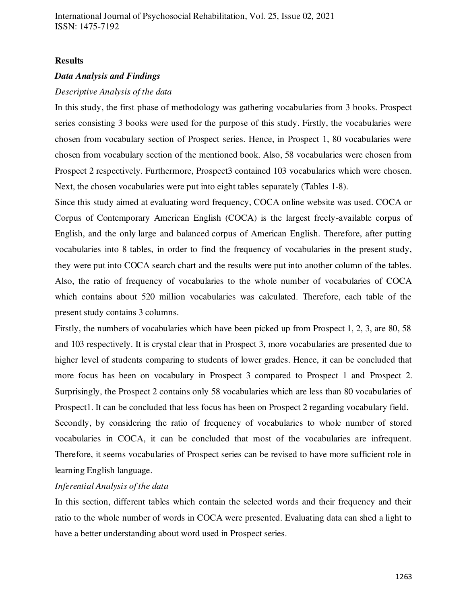#### **Results**

#### *Data Analysis and Findings*

#### *Descriptive Analysis of the data*

In this study, the first phase of methodology was gathering vocabularies from 3 books. Prospect series consisting 3 books were used for the purpose of this study. Firstly, the vocabularies were chosen from vocabulary section of Prospect series. Hence, in Prospect 1, 80 vocabularies were chosen from vocabulary section of the mentioned book. Also, 58 vocabularies were chosen from Prospect 2 respectively. Furthermore, Prospect3 contained 103 vocabularies which were chosen. Next, the chosen vocabularies were put into eight tables separately (Tables 1-8).

Since this study aimed at evaluating word frequency, COCA online website was used. COCA or Corpus of Contemporary American English (COCA) is the largest freely-available corpus of English, and the only [large and balanced](http://corpus.byu.edu/coca/help/texts.asp) corpus of American English. Therefore, after putting vocabularies into 8 tables, in order to find the frequency of vocabularies in the present study, they were put into COCA search chart and the results were put into another column of the tables. Also, the ratio of frequency of vocabularies to the whole number of vocabularies of COCA which contains about 520 million vocabularies was calculated. Therefore, each table of the present study contains 3 columns.

Firstly, the numbers of vocabularies which have been picked up from Prospect 1, 2, 3, are 80, 58 and 103 respectively. It is crystal clear that in Prospect 3, more vocabularies are presented due to higher level of students comparing to students of lower grades. Hence, it can be concluded that more focus has been on vocabulary in Prospect 3 compared to Prospect 1 and Prospect 2. Surprisingly, the Prospect 2 contains only 58 vocabularies which are less than 80 vocabularies of Prospect1. It can be concluded that less focus has been on Prospect 2 regarding vocabulary field.

Secondly, by considering the ratio of frequency of vocabularies to whole number of stored vocabularies in COCA, it can be concluded that most of the vocabularies are infrequent. Therefore, it seems vocabularies of Prospect series can be revised to have more sufficient role in learning English language.

#### *Inferential Analysis of the data*

In this section, different tables which contain the selected words and their frequency and their ratio to the whole number of words in COCA were presented. Evaluating data can shed a light to have a better understanding about word used in Prospect series.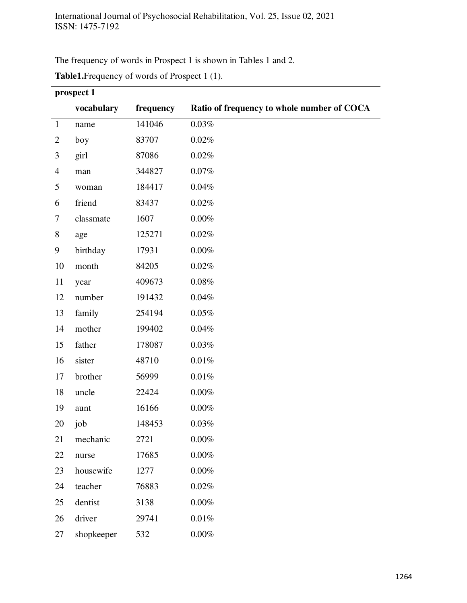The frequency of words in Prospect 1 is shown in Tables 1 and 2.

|                | prospect 1 |           |                                            |  |  |
|----------------|------------|-----------|--------------------------------------------|--|--|
|                | vocabulary | frequency | Ratio of frequency to whole number of COCA |  |  |
| $\mathbf{1}$   | name       | 141046    | 0.03%                                      |  |  |
| $\overline{2}$ | boy        | 83707     | 0.02%                                      |  |  |
| 3              | girl       | 87086     | 0.02%                                      |  |  |
| $\overline{4}$ | man        | 344827    | 0.07%                                      |  |  |
| 5              | woman      | 184417    | $0.04\%$                                   |  |  |
| 6              | friend     | 83437     | 0.02%                                      |  |  |
| $\tau$         | classmate  | 1607      | $0.00\%$                                   |  |  |
| 8              | age        | 125271    | 0.02%                                      |  |  |
| 9              | birthday   | 17931     | $0.00\%$                                   |  |  |
| 10             | month      | 84205     | 0.02%                                      |  |  |
| 11             | year       | 409673    | 0.08%                                      |  |  |
| 12             | number     | 191432    | $0.04\%$                                   |  |  |
| 13             | family     | 254194    | 0.05%                                      |  |  |
| 14             | mother     | 199402    | 0.04%                                      |  |  |
| 15             | father     | 178087    | 0.03%                                      |  |  |
| 16             | sister     | 48710     | $0.01\%$                                   |  |  |
| 17             | brother    | 56999     | $0.01\%$                                   |  |  |
| 18             | uncle      | 22424     | $0.00\%$                                   |  |  |
| 19             | aunt       | 16166     | 0.00%                                      |  |  |
| 20             | job        | 148453    | 0.03%                                      |  |  |
| 21             | mechanic   | 2721      | $0.00\%$                                   |  |  |
| 22             | nurse      | 17685     | $0.00\%$                                   |  |  |
| 23             | housewife  | 1277      | $0.00\%$                                   |  |  |
| 24             | teacher    | 76883     | 0.02%                                      |  |  |
| 25             | dentist    | 3138      | $0.00\%$                                   |  |  |
| 26             | driver     | 29741     | $0.01\%$                                   |  |  |
| 27             | shopkeeper | 532       | $0.00\%$                                   |  |  |

**Table1.**Frequency of words of Prospect 1 (1).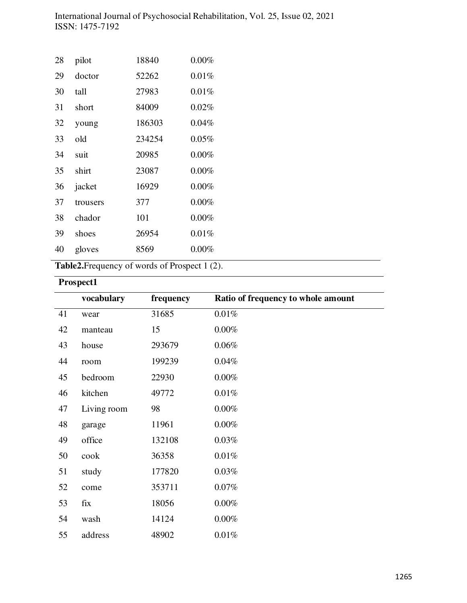| 28 | pilot    | 18840  | 0.00%    |
|----|----------|--------|----------|
| 29 | doctor   | 52262  | 0.01%    |
| 30 | tall     | 27983  | 0.01%    |
| 31 | short    | 84009  | 0.02%    |
| 32 | young    | 186303 | 0.04%    |
| 33 | old      | 234254 | 0.05%    |
| 34 | suit     | 20985  | 0.00%    |
| 35 | shirt    | 23087  | 0.00%    |
| 36 | jacket   | 16929  | 0.00%    |
| 37 | trousers | 377    | 0.00%    |
| 38 | chador   | 101    | 0.00%    |
| 39 | shoes    | 26954  | 0.01%    |
| 40 | gloves   | 8569   | $0.00\%$ |

**Table2.**Frequency of words of Prospect 1 (2).

# **Prospect1**

|    | vocabulary  | frequency | Ratio of frequency to whole amount |
|----|-------------|-----------|------------------------------------|
| 41 | wear        | 31685     | 0.01%                              |
| 42 | manteau     | 15        | $0.00\%$                           |
| 43 | house       | 293679    | 0.06%                              |
| 44 | room        | 199239    | 0.04%                              |
| 45 | bedroom     | 22930     | $0.00\%$                           |
| 46 | kitchen     | 49772     | 0.01%                              |
| 47 | Living room | 98        | $0.00\%$                           |
| 48 | garage      | 11961     | 0.00%                              |
| 49 | office      | 132108    | 0.03%                              |
| 50 | cook        | 36358     | 0.01%                              |
| 51 | study       | 177820    | 0.03%                              |
| 52 | come        | 353711    | 0.07%                              |
| 53 | fix         | 18056     | 0.00%                              |
| 54 | wash        | 14124     | $0.00\%$                           |
| 55 | address     | 48902     | 0.01%                              |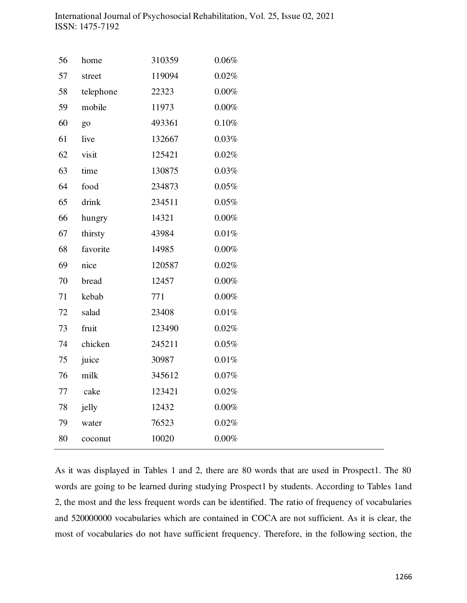| 56 | home      | 310359 | $0.06\%$ |
|----|-----------|--------|----------|
| 57 | street    | 119094 | 0.02%    |
| 58 | telephone | 22323  | $0.00\%$ |
| 59 | mobile    | 11973  | $0.00\%$ |
| 60 | go        | 493361 | 0.10%    |
| 61 | live      | 132667 | 0.03%    |
| 62 | visit     | 125421 | 0.02%    |
| 63 | time      | 130875 | 0.03%    |
| 64 | food      | 234873 | 0.05%    |
| 65 | drink     | 234511 | 0.05%    |
| 66 | hungry    | 14321  | $0.00\%$ |
| 67 | thirsty   | 43984  | $0.01\%$ |
| 68 | favorite  | 14985  | $0.00\%$ |
| 69 | nice      | 120587 | 0.02%    |
| 70 | bread     | 12457  | $0.00\%$ |
| 71 | kebab     | 771    | $0.00\%$ |
| 72 | salad     | 23408  | 0.01%    |
| 73 | fruit     | 123490 | 0.02%    |
| 74 | chicken   | 245211 | 0.05%    |
| 75 | juice     | 30987  | 0.01%    |
| 76 | milk      | 345612 | 0.07%    |
| 77 | cake      | 123421 | 0.02%    |
| 78 | jelly     | 12432  | $0.00\%$ |
| 79 | water     | 76523  | 0.02%    |
| 80 | coconut   | 10020  | $0.00\%$ |

As it was displayed in Tables 1 and 2, there are 80 words that are used in Prospect1. The 80 words are going to be learned during studying Prospect1 by students. According to Tables 1and 2, the most and the less frequent words can be identified. The ratio of frequency of vocabularies and 520000000 vocabularies which are contained in COCA are not sufficient. As it is clear, the most of vocabularies do not have sufficient frequency. Therefore, in the following section, the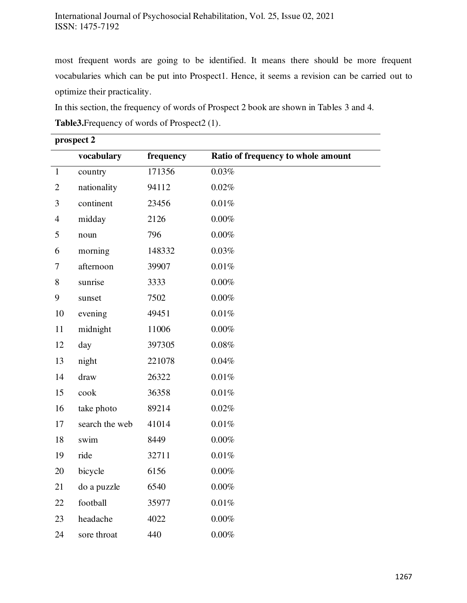most frequent words are going to be identified. It means there should be more frequent vocabularies which can be put into Prospect1. Hence, it seems a revision can be carried out to optimize their practicality.

In this section, the frequency of words of Prospect 2 book are shown in Tables 3 and 4.

|                | prospect 2     |           |                                    |  |  |
|----------------|----------------|-----------|------------------------------------|--|--|
|                | vocabulary     | frequency | Ratio of frequency to whole amount |  |  |
| $\mathbf{1}$   | country        | 171356    | 0.03%                              |  |  |
| $\overline{2}$ | nationality    | 94112     | 0.02%                              |  |  |
| 3              | continent      | 23456     | $0.01\%$                           |  |  |
| $\overline{4}$ | midday         | 2126      | $0.00\%$                           |  |  |
| 5              | noun           | 796       | $0.00\%$                           |  |  |
| 6              | morning        | 148332    | 0.03%                              |  |  |
| 7              | afternoon      | 39907     | 0.01%                              |  |  |
| 8              | sunrise        | 3333      | 0.00%                              |  |  |
| 9              | sunset         | 7502      | $0.00\%$                           |  |  |
| 10             | evening        | 49451     | $0.01\%$                           |  |  |
| 11             | midnight       | 11006     | 0.00%                              |  |  |
| 12             | day            | 397305    | 0.08%                              |  |  |
| 13             | night          | 221078    | 0.04%                              |  |  |
| 14             | draw           | 26322     | 0.01%                              |  |  |
| 15             | cook           | 36358     | 0.01%                              |  |  |
| 16             | take photo     | 89214     | 0.02%                              |  |  |
| 17             | search the web | 41014     | $0.01\%$                           |  |  |
| 18             | swim           | 8449      | $0.00\%$                           |  |  |
| 19             | ride           | 32711     | $0.01\%$                           |  |  |
| 20             | bicycle        | 6156      | $0.00\%$                           |  |  |
| 21             | do a puzzle    | 6540      | $0.00\%$                           |  |  |
| 22             | football       | 35977     | $0.01\%$                           |  |  |
| 23             | headache       | 4022      | $0.00\%$                           |  |  |
| 24             | sore throat    | 440       | $0.00\%$                           |  |  |

**Table3.**Frequency of words of Prospect2 (1).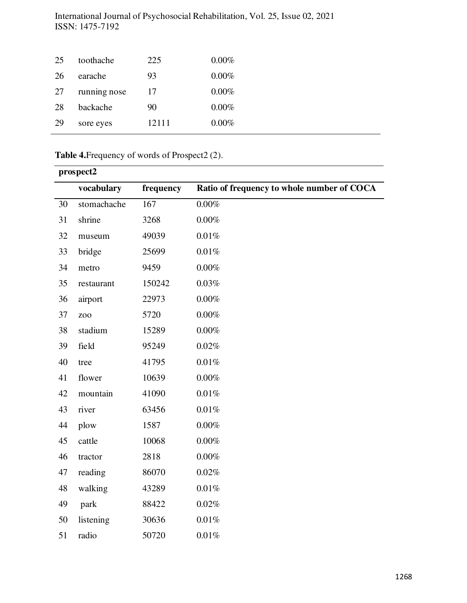| $0.00\%$<br>93<br>26<br>earache      |  |
|--------------------------------------|--|
| running nose<br>$0.00\%$<br>27<br>17 |  |
| $0.00\%$<br>28<br>90<br>backache     |  |
| 29<br>12111<br>$0.00\%$<br>sore eyes |  |

# **Table 4.**Frequency of words of Prospect2 (2).

|    | prospect2       |           |                                            |  |  |
|----|-----------------|-----------|--------------------------------------------|--|--|
|    | vocabulary      | frequency | Ratio of frequency to whole number of COCA |  |  |
| 30 | stomachache     | 167       | $0.00\%$                                   |  |  |
| 31 | shrine          | 3268      | 0.00%                                      |  |  |
| 32 | museum          | 49039     | 0.01%                                      |  |  |
| 33 | bridge          | 25699     | 0.01%                                      |  |  |
| 34 | metro           | 9459      | 0.00%                                      |  |  |
| 35 | restaurant      | 150242    | 0.03%                                      |  |  |
| 36 | airport         | 22973     | 0.00%                                      |  |  |
| 37 | ZO <sub>O</sub> | 5720      | $0.00\%$                                   |  |  |
| 38 | stadium         | 15289     | $0.00\%$                                   |  |  |
| 39 | field           | 95249     | 0.02%                                      |  |  |
| 40 | tree            | 41795     | 0.01%                                      |  |  |
| 41 | flower          | 10639     | 0.00%                                      |  |  |
| 42 | mountain        | 41090     | 0.01%                                      |  |  |
| 43 | river           | 63456     | $0.01\%$                                   |  |  |
| 44 | plow            | 1587      | 0.00%                                      |  |  |
| 45 | cattle          | 10068     | $0.00\%$                                   |  |  |
| 46 | tractor         | 2818      | $0.00\%$                                   |  |  |
| 47 | reading         | 86070     | 0.02%                                      |  |  |
| 48 | walking         | 43289     | $0.01\%$                                   |  |  |
| 49 | park            | 88422     | $0.02\%$                                   |  |  |
| 50 | listening       | 30636     | 0.01%                                      |  |  |
| 51 | radio           | 50720     | 0.01%                                      |  |  |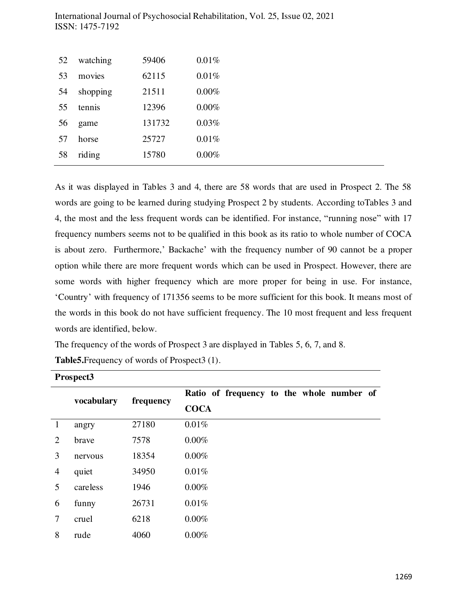| 52 | watching | 59406  | 0.01%    |
|----|----------|--------|----------|
| 53 | movies   | 62115  | 0.01%    |
| 54 | shopping | 21511  | 0.00%    |
| 55 | tennis   | 12396  | 0.00%    |
| 56 | game     | 131732 | 0.03%    |
| 57 | horse    | 25727  | 0.01%    |
| 58 | riding   | 15780  | $0.00\%$ |

As it was displayed in Tables 3 and 4, there are 58 words that are used in Prospect 2. The 58 words are going to be learned during studying Prospect 2 by students. According toTables 3 and 4, the most and the less frequent words can be identified. For instance, "running nose" with 17 frequency numbers seems not to be qualified in this book as its ratio to whole number of COCA is about zero. Furthermore,' Backache' with the frequency number of 90 cannot be a proper option while there are more frequent words which can be used in Prospect. However, there are some words with higher frequency which are more proper for being in use. For instance, 'Country' with frequency of 171356 seems to be more sufficient for this book. It means most of the words in this book do not have sufficient frequency. The 10 most frequent and less frequent words are identified, below.

The frequency of the words of Prospect 3 are displayed in Tables 5, 6, 7, and 8.

|                | Prospect3  |           |                                           |  |  |  |
|----------------|------------|-----------|-------------------------------------------|--|--|--|
|                |            | frequency | Ratio of frequency to the whole number of |  |  |  |
|                | vocabulary |           | <b>COCA</b>                               |  |  |  |
| $\mathbf{1}$   | angry      | 27180     | 0.01%                                     |  |  |  |
| 2              | brave      | 7578      | $0.00\%$                                  |  |  |  |
| 3              | nervous    | 18354     | $0.00\%$                                  |  |  |  |
| $\overline{4}$ | quiet      | 34950     | 0.01%                                     |  |  |  |
| 5              | careless   | 1946      | $0.00\%$                                  |  |  |  |
| 6              | funny      | 26731     | 0.01%                                     |  |  |  |
| 7              | cruel      | 6218      | $0.00\%$                                  |  |  |  |
| 8              | rude       | 4060      | 0.00%                                     |  |  |  |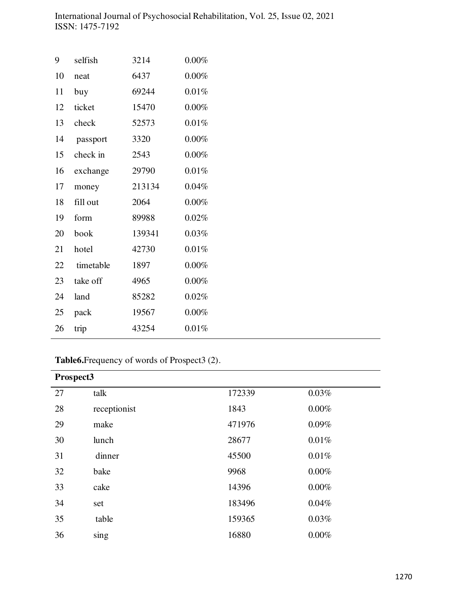| 9  | selfish   | 3214   | 0.00%    |
|----|-----------|--------|----------|
| 10 | neat      | 6437   | 0.00%    |
| 11 | buy       | 69244  | 0.01%    |
| 12 | ticket    | 15470  | 0.00%    |
| 13 | check     | 52573  | 0.01%    |
| 14 | passport  | 3320   | 0.00%    |
| 15 | check in  | 2543   | $0.00\%$ |
| 16 | exchange  | 29790  | 0.01%    |
| 17 | money     | 213134 | 0.04%    |
| 18 | fill out  | 2064   | $0.00\%$ |
| 19 | form      | 89988  | 0.02%    |
| 20 | book      | 139341 | 0.03%    |
| 21 | hotel     | 42730  | 0.01%    |
| 22 | timetable | 1897   | 0.00%    |
| 23 | take off  | 4965   | 0.00%    |
| 24 | land      | 85282  | 0.02%    |
| 25 | pack      | 19567  | 0.00%    |
| 26 | trip      | 43254  | 0.01%    |
|    |           |        |          |

**Table6.**Frequency of words of Prospect3 (2).

|    | Prospect3    |        |          |  |
|----|--------------|--------|----------|--|
| 27 | talk         | 172339 | 0.03%    |  |
| 28 | receptionist | 1843   | $0.00\%$ |  |
| 29 | make         | 471976 | 0.09%    |  |
| 30 | lunch        | 28677  | 0.01%    |  |
| 31 | dinner       | 45500  | 0.01%    |  |
| 32 | bake         | 9968   | $0.00\%$ |  |
| 33 | cake         | 14396  | 0.00%    |  |
| 34 | set          | 183496 | 0.04%    |  |
| 35 | table        | 159365 | 0.03%    |  |
| 36 | sing         | 16880  | 0.00%    |  |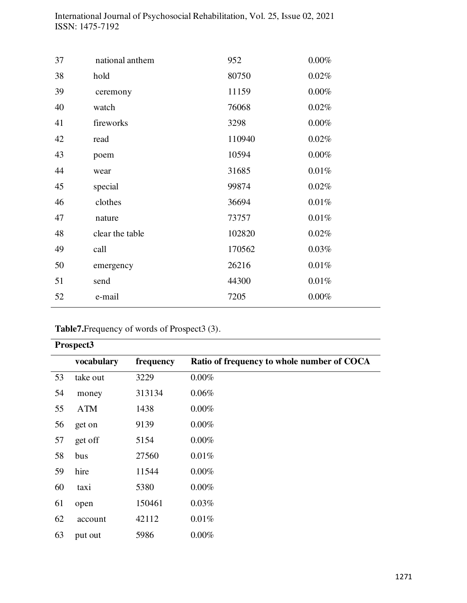| 37 | national anthem | 952    | $0.00\%$ |
|----|-----------------|--------|----------|
| 38 | hold            | 80750  | 0.02%    |
| 39 | ceremony        | 11159  | $0.00\%$ |
| 40 | watch           | 76068  | 0.02%    |
| 41 | fireworks       | 3298   | $0.00\%$ |
| 42 | read            | 110940 | 0.02%    |
| 43 | poem            | 10594  | $0.00\%$ |
| 44 | wear            | 31685  | 0.01%    |
| 45 | special         | 99874  | 0.02%    |
| 46 | clothes         | 36694  | $0.01\%$ |
| 47 | nature          | 73757  | 0.01%    |
| 48 | clear the table | 102820 | 0.02%    |
| 49 | call            | 170562 | 0.03%    |
| 50 | emergency       | 26216  | 0.01%    |
| 51 | send            | 44300  | 0.01%    |
| 52 | e-mail          | 7205   | $0.00\%$ |
|    |                 |        |          |

**Table7.**Frequency of words of Prospect3 (3).

| Prospect3 |            |           |                                            |  |
|-----------|------------|-----------|--------------------------------------------|--|
|           | vocabulary | frequency | Ratio of frequency to whole number of COCA |  |
| 53        | take out   | 3229      | 0.00%                                      |  |
| 54        | money      | 313134    | 0.06%                                      |  |
| 55        | <b>ATM</b> | 1438      | 0.00%                                      |  |
| 56        | get on     | 9139      | $0.00\%$                                   |  |
| 57        | get off    | 5154      | 0.00%                                      |  |
| 58        | bus        | 27560     | 0.01%                                      |  |
| 59        | hire       | 11544     | $0.00\%$                                   |  |
| 60        | taxi       | 5380      | $0.00\%$                                   |  |
| 61        | open       | 150461    | 0.03%                                      |  |
| 62        | account    | 42112     | 0.01%                                      |  |
| 63        | put out    | 5986      | 0.00%                                      |  |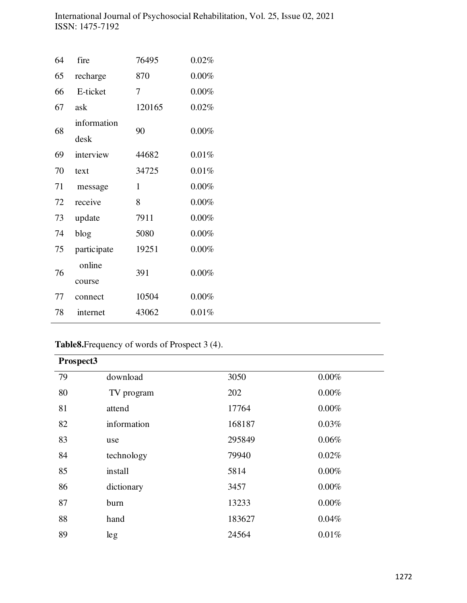| 64 | fire        | 76495  | 0.02%    |
|----|-------------|--------|----------|
| 65 | recharge    | 870    | $0.00\%$ |
| 66 | E-ticket    | 7      | $0.00\%$ |
| 67 | ask         | 120165 | 0.02%    |
| 68 | information | 90     | 0.00%    |
|    | desk        |        |          |
| 69 | interview   | 44682  | 0.01%    |
| 70 | text        | 34725  | 0.01%    |
| 71 | message     | 1      | $0.00\%$ |
| 72 | receive     | 8      | $0.00\%$ |
| 73 | update      | 7911   | $0.00\%$ |
| 74 | blog        | 5080   | 0.00%    |
| 75 | participate | 19251  | 0.00%    |
|    | online      |        |          |
| 76 | course      | 391    | $0.00\%$ |
| 77 | connect     | 10504  | $0.00\%$ |
| 78 | internet    | 43062  | 0.01%    |
|    |             |        |          |

# **Table8.**Frequency of words of Prospect 3 (4).

| Prospect3 |             |        |          |
|-----------|-------------|--------|----------|
| 79        | download    | 3050   | $0.00\%$ |
| 80        | TV program  | 202    | $0.00\%$ |
| 81        | attend      | 17764  | $0.00\%$ |
| 82        | information | 168187 | 0.03%    |
| 83        | use         | 295849 | 0.06%    |
| 84        | technology  | 79940  | 0.02%    |
| 85        | install     | 5814   | $0.00\%$ |
| 86        | dictionary  | 3457   | $0.00\%$ |
| 87        | burn        | 13233  | $0.00\%$ |
| 88        | hand        | 183627 | 0.04%    |
| 89        | leg         | 24564  | 0.01%    |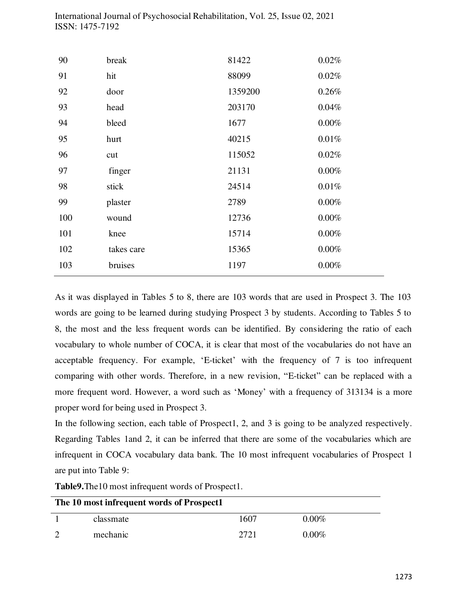| 90  | break      | 81422   | 0.02%    |
|-----|------------|---------|----------|
| 91  | hit        | 88099   | 0.02%    |
| 92  | door       | 1359200 | 0.26%    |
| 93  | head       | 203170  | 0.04%    |
| 94  | bleed      | 1677    | 0.00%    |
| 95  | hurt       | 40215   | 0.01%    |
| 96  | cut        | 115052  | 0.02%    |
| 97  | finger     | 21131   | 0.00%    |
| 98  | stick      | 24514   | 0.01%    |
| 99  | plaster    | 2789    | 0.00%    |
| 100 | wound      | 12736   | 0.00%    |
| 101 | knee       | 15714   | 0.00%    |
| 102 | takes care | 15365   | $0.00\%$ |
| 103 | bruises    | 1197    | $0.00\%$ |
|     |            |         |          |

As it was displayed in Tables 5 to 8, there are 103 words that are used in Prospect 3. The 103 words are going to be learned during studying Prospect 3 by students. According to Tables 5 to 8, the most and the less frequent words can be identified. By considering the ratio of each vocabulary to whole number of COCA, it is clear that most of the vocabularies do not have an acceptable frequency. For example, 'E-ticket' with the frequency of 7 is too infrequent comparing with other words. Therefore, in a new revision, "E-ticket" can be replaced with a more frequent word. However, a word such as 'Money' with a frequency of 313134 is a more proper word for being used in Prospect 3.

In the following section, each table of Prospect1, 2, and 3 is going to be analyzed respectively. Regarding Tables 1and 2, it can be inferred that there are some of the vocabularies which are infrequent in COCA vocabulary data bank. The 10 most infrequent vocabularies of Prospect 1 are put into Table 9:

**Table9.**The10 most infrequent words of Prospect1.

| The 10 most infrequent words of Prospect1 |           |      |          |  |
|-------------------------------------------|-----------|------|----------|--|
|                                           | classmate | 1607 | $0.00\%$ |  |
|                                           | mechanic  | 2721 | $0.00\%$ |  |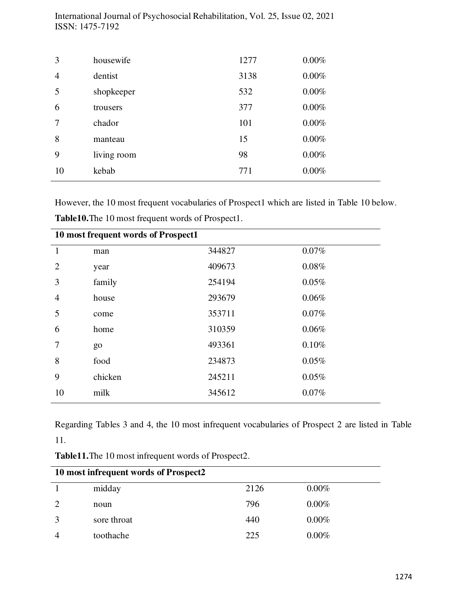| 3  | housewife   | 1277 | $0.00\%$ |
|----|-------------|------|----------|
| 4  | dentist     | 3138 | 0.00%    |
| 5  | shopkeeper  | 532  | 0.00%    |
| 6  | trousers    | 377  | 0.00%    |
| 7  | chador      | 101  | 0.00%    |
| 8  | manteau     | 15   | 0.00%    |
| 9  | living room | 98   | 0.00%    |
| 10 | kebab       | 771  | 0.00%    |

However, the 10 most frequent vocabularies of Prospect1 which are listed in Table 10 below. **Table10.**The 10 most frequent words of Prospect1.

|                | 10 most frequent words of Prospect1 |        |       |
|----------------|-------------------------------------|--------|-------|
| $\overline{1}$ | man                                 | 344827 | 0.07% |
| 2              | year                                | 409673 | 0.08% |
| 3              | family                              | 254194 | 0.05% |
| 4              | house                               | 293679 | 0.06% |
| 5              | come                                | 353711 | 0.07% |
| 6              | home                                | 310359 | 0.06% |
| 7              | go                                  | 493361 | 0.10% |
| 8              | food                                | 234873 | 0.05% |
| 9              | chicken                             | 245211 | 0.05% |
| 10             | milk                                | 345612 | 0.07% |
|                |                                     |        |       |

Regarding Tables 3 and 4, the 10 most infrequent vocabularies of Prospect 2 are listed in Table 11.

| 10 most infrequent words of Prospect2 |             |      |          |
|---------------------------------------|-------------|------|----------|
|                                       | midday      | 2126 | $0.00\%$ |
| $\mathcal{D}$                         | noun        | 796  | $0.00\%$ |
|                                       | sore throat | 440  | $0.00\%$ |
|                                       | toothache   | 225  | $0.00\%$ |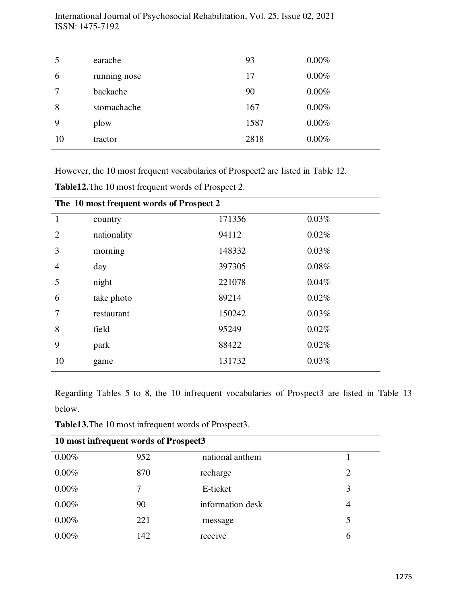| 5      | earache      | 93   | 0.00% |
|--------|--------------|------|-------|
| 6      | running nose | 17   | 0.00% |
| $\tau$ | backache     | 90   | 0.00% |
| 8      | stomachache  | 167  | 0.00% |
| 9      | plow         | 1587 | 0.00% |
| 10     | tractor      | 2818 | 0.00% |

However, the 10 most frequent vocabularies of Prospect2 are listed in Table 12*.* 

|                | The 10 most frequent words of Prospect 2 |        |          |  |  |
|----------------|------------------------------------------|--------|----------|--|--|
| $\mathbf{1}$   | country                                  | 171356 | 0.03%    |  |  |
| $\overline{2}$ | nationality                              | 94112  | 0.02%    |  |  |
| 3              | morning                                  | 148332 | 0.03%    |  |  |
| $\overline{4}$ | day                                      | 397305 | $0.08\%$ |  |  |
| 5              | night                                    | 221078 | 0.04%    |  |  |
| 6              | take photo                               | 89214  | 0.02%    |  |  |
| 7              | restaurant                               | 150242 | 0.03%    |  |  |
| 8              | field                                    | 95249  | 0.02%    |  |  |
| 9              | park                                     | 88422  | 0.02%    |  |  |
| 10             | game                                     | 131732 | 0.03%    |  |  |
|                |                                          |        |          |  |  |

**Table12.**The 10 most frequent words of Prospect 2.

Regarding Tables 5 to 8, the 10 infrequent vocabularies of Prospect3 are listed in Table 13 below.

| <b>Table13.</b> The 10 most infrequent words of Prospect3. |  |  |  |  |
|------------------------------------------------------------|--|--|--|--|
|------------------------------------------------------------|--|--|--|--|

| 10 most infrequent words of Prospect3 |     |                  |                |  |
|---------------------------------------|-----|------------------|----------------|--|
| $0.00\%$                              | 952 | national anthem  |                |  |
| $0.00\%$                              | 870 | recharge         | 2              |  |
| $0.00\%$                              | 7   | E-ticket         | 3              |  |
| $0.00\%$                              | 90  | information desk | $\overline{4}$ |  |
| $0.00\%$                              | 221 | message          | 5              |  |
| $0.00\%$                              | 142 | receive          | 6              |  |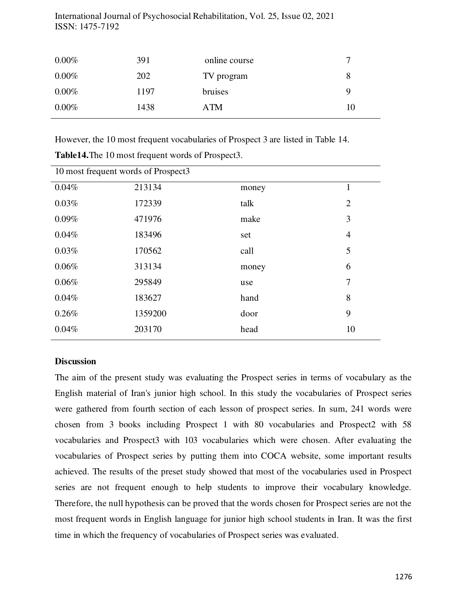| $0.00\%$ | 391  | online course |    |
|----------|------|---------------|----|
| $0.00\%$ | 202  | TV program    |    |
| $0.00\%$ | 1197 | bruises       | Q  |
| $0.00\%$ | 1438 | ATM           | 10 |

However, the 10 most frequent vocabularies of Prospect 3 are listed in Table 14.

| 10 most frequent words of Prospect3 |         |       |                |  |  |
|-------------------------------------|---------|-------|----------------|--|--|
| 0.04%                               | 213134  | money |                |  |  |
| 0.03%                               | 172339  | talk  | $\overline{2}$ |  |  |
| 0.09%                               | 471976  | make  | 3              |  |  |
| 0.04%                               | 183496  | set   | 4              |  |  |
| 0.03%                               | 170562  | call  | 5              |  |  |
| 0.06%                               | 313134  | money | 6              |  |  |
| 0.06%                               | 295849  | use   | 7              |  |  |
| 0.04%                               | 183627  | hand  | 8              |  |  |
| 0.26%                               | 1359200 | door  | 9              |  |  |
| 0.04%                               | 203170  | head  | 10             |  |  |

**Table14.**The 10 most frequent words of Prospect3.

## **Discussion**

The aim of the present study was evaluating the Prospect series in terms of vocabulary as the English material of Iran's junior high school. In this study the vocabularies of Prospect series were gathered from fourth section of each lesson of prospect series. In sum, 241 words were chosen from 3 books including Prospect 1 with 80 vocabularies and Prospect2 with 58 vocabularies and Prospect3 with 103 vocabularies which were chosen. After evaluating the vocabularies of Prospect series by putting them into COCA website, some important results achieved. The results of the preset study showed that most of the vocabularies used in Prospect series are not frequent enough to help students to improve their vocabulary knowledge. Therefore, the null hypothesis can be proved that the words chosen for Prospect series are not the most frequent words in English language for junior high school students in Iran. It was the first time in which the frequency of vocabularies of Prospect series was evaluated.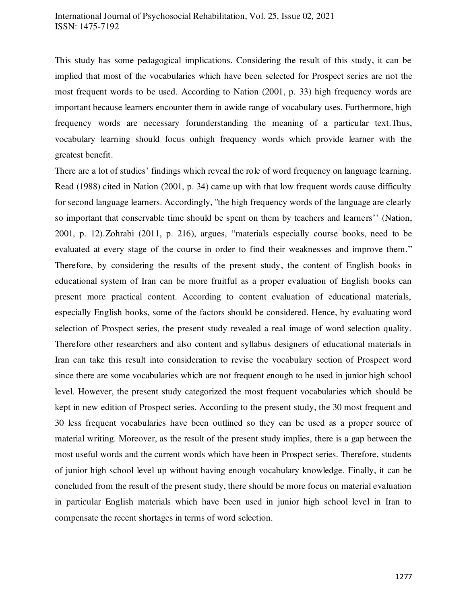This study has some pedagogical implications. Considering the result of this study, it can be implied that most of the vocabularies which have been selected for Prospect series are not the most frequent words to be used. According to Nation (2001, p. 33) high frequency words are important because learners encounter them in awide range of vocabulary uses. Furthermore, high frequency words are necessary forunderstanding the meaning of a particular text.Thus, vocabulary learning should focus onhigh frequency words which provide learner with the greatest benefit.

There are a lot of studies' findings which reveal the role of word frequency on language learning. Read (1988) cited in Nation (2001, p. 34) came up with that low frequent words cause difficulty for second language learners. Accordingly, ''the high frequency words of the language are clearly so important that conservable time should be spent on them by teachers and learners'' (Nation, 2001, p. 12).Zohrabi (2011, p. 216), argues, "materials especially course books, need to be evaluated at every stage of the course in order to find their weaknesses and improve them." Therefore, by considering the results of the present study, the content of English books in educational system of Iran can be more fruitful as a proper evaluation of English books can present more practical content. According to content evaluation of educational materials, especially English books, some of the factors should be considered. Hence, by evaluating word selection of Prospect series, the present study revealed a real image of word selection quality. Therefore other researchers and also content and syllabus designers of educational materials in Iran can take this result into consideration to revise the vocabulary section of Prospect word since there are some vocabularies which are not frequent enough to be used in junior high school level. However, the present study categorized the most frequent vocabularies which should be kept in new edition of Prospect series. According to the present study, the 30 most frequent and 30 less frequent vocabularies have been outlined so they can be used as a proper source of material writing. Moreover, as the result of the present study implies, there is a gap between the most useful words and the current words which have been in Prospect series. Therefore, students of junior high school level up without having enough vocabulary knowledge. Finally, it can be concluded from the result of the present study, there should be more focus on material evaluation in particular English materials which have been used in junior high school level in Iran to compensate the recent shortages in terms of word selection.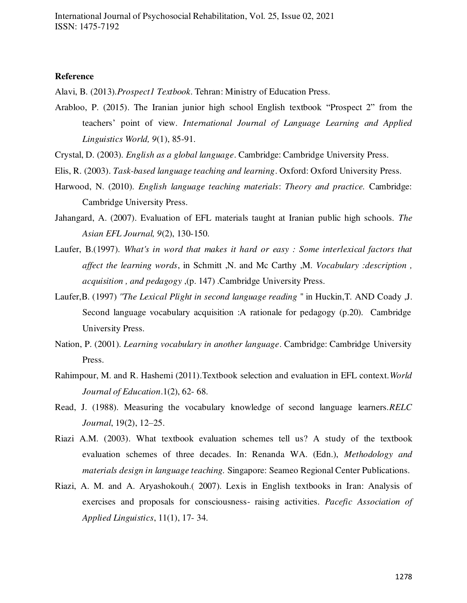#### **Reference**

Alavi, B. (2013).*Prospect1 Textbook*. Tehran: Ministry of Education Press.

- Arabloo, P. (2015). The Iranian junior high school English textbook "Prospect 2" from the teachers' point of view. *International Journal of Language Learning and Applied Linguistics World, 9*(1), 85-91.
- Crystal, D. (2003). *English as a global language*. Cambridge: Cambridge University Press.
- Elis, R. (2003). *Task-based language teaching and learning*. Oxford: Oxford University Press.
- Harwood, N. (2010). *English language teaching materials*: *Theory and practice.* Cambridge: Cambridge University Press.
- Jahangard, A. (2007). Evaluation of EFL materials taught at Iranian public high schools. *The Asian EFL Journal, 9*(2), 130-150.
- Laufer, B.(1997). *What's in word that makes it hard or easy : Some interlexical factors that affect the learning words*, in Schmitt ,N. and Mc Carthy ,M. *Vocabulary :description , acquisition , and pedagogy* ,(p. 147) .Cambridge University Press.
- Laufer,B. (1997) *''The Lexical Plight in second language reading* '' in Huckin,T. AND Coady ,J. Second language vocabulary acquisition :A rationale for pedagogy (p.20). Cambridge University Press.
- Nation, P. (2001). *Learning vocabulary in another language*. Cambridge: Cambridge University Press.
- Rahimpour, M. and R. Hashemi (2011).Textbook selection and evaluation in EFL context.*World Journal of Education*.1(2), 62- 68.
- Read, J. (1988). Measuring the vocabulary knowledge of second language learners.*RELC Journal*, 19(2), 12–25.
- Riazi A.M. (2003). What textbook evaluation schemes tell us? A study of the textbook evaluation schemes of three decades. In: Renanda WA. (Edn.), *Methodology and materials design in language teaching.* Singapore: Seameo Regional Center Publications.
- Riazi, A. M. and A. Aryashokouh.( 2007). Lexis in English textbooks in Iran: Analysis of exercises and proposals for consciousness- raising activities. *Pacefic Association of Applied Linguistics*, 11(1), 17- 34.